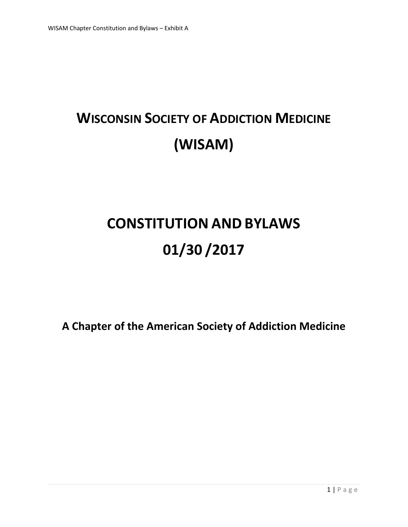# **WISCONSIN SOCIETY OF ADDICTION MEDICINE (WISAM)**

# **CONSTITUTION AND BYLAWS 01/30 /2017**

**A Chapter of the American Society of Addiction Medicine**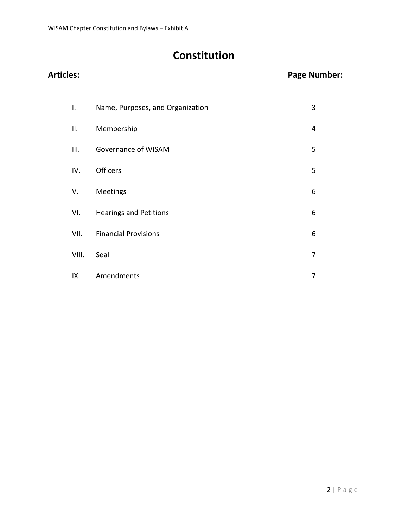# **Constitution**

### **Articles: Page Number:**

| Ι.    | Name, Purposes, and Organization | 3 |
|-------|----------------------------------|---|
| ΙΙ.   | Membership                       | 4 |
| III.  | Governance of WISAM              | 5 |
| IV.   | <b>Officers</b>                  | 5 |
| V.    | Meetings                         | 6 |
| VI.   | <b>Hearings and Petitions</b>    | 6 |
| VII.  | <b>Financial Provisions</b>      | 6 |
| VIII. | Seal                             | 7 |
| IX.   | Amendments                       | 7 |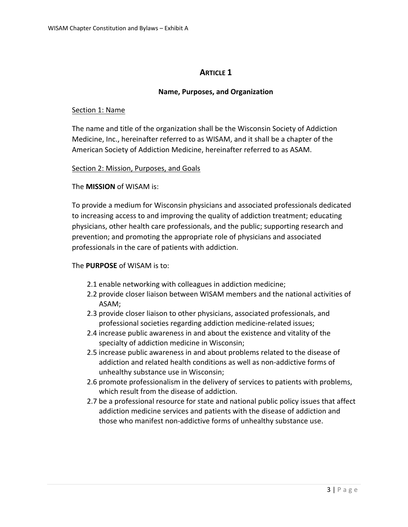#### **ARTICLE 1**

#### **Name, Purposes, and Organization**

#### Section 1: Name

The name and title of the organization shall be the Wisconsin Society of Addiction Medicine, Inc., hereinafter referred to as WISAM, and it shall be a chapter of the American Society of Addiction Medicine, hereinafter referred to as ASAM.

#### Section 2: Mission, Purposes, and Goals

#### The **MISSION** of WISAM is:

To provide a medium for Wisconsin physicians and associated professionals dedicated to increasing access to and improving the quality of addiction treatment; educating physicians, other health care professionals, and the public; supporting research and prevention; and promoting the appropriate role of physicians and associated professionals in the care of patients with addiction.

#### The **PURPOSE** of WISAM is to:

- 2.1 enable networking with colleagues in addiction medicine;
- 2.2 provide closer liaison between WISAM members and the national activities of ASAM;
- 2.3 provide closer liaison to other physicians, associated professionals, and professional societies regarding addiction medicine-related issues;
- 2.4 increase public awareness in and about the existence and vitality of the specialty of addiction medicine in Wisconsin;
- 2.5 increase public awareness in and about problems related to the disease of addiction and related health conditions as well as non-addictive forms of unhealthy substance use in Wisconsin;
- 2.6 promote professionalism in the delivery of services to patients with problems, which result from the disease of addiction.
- 2.7 be a professional resource for state and national public policy issues that affect addiction medicine services and patients with the disease of addiction and those who manifest non-addictive forms of unhealthy substance use.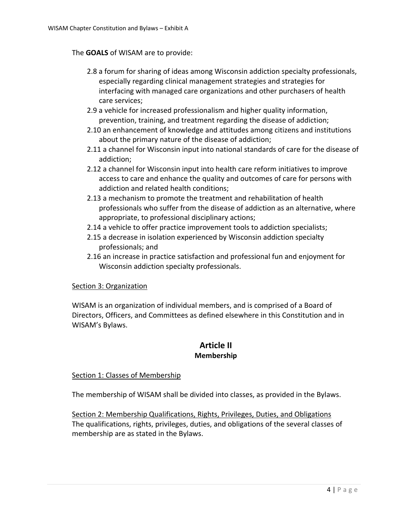#### The **GOALS** of WISAM are to provide:

- 2.8 a forum for sharing of ideas among Wisconsin addiction specialty professionals, especially regarding clinical management strategies and strategies for interfacing with managed care organizations and other purchasers of health care services;
- 2.9 a vehicle for increased professionalism and higher quality information, prevention, training, and treatment regarding the disease of addiction;
- 2.10 an enhancement of knowledge and attitudes among citizens and institutions about the primary nature of the disease of addiction;
- 2.11 a channel for Wisconsin input into national standards of care for the disease of addiction;
- 2.12 a channel for Wisconsin input into health care reform initiatives to improve access to care and enhance the quality and outcomes of care for persons with addiction and related health conditions;
- 2.13 a mechanism to promote the treatment and rehabilitation of health professionals who suffer from the disease of addiction as an alternative, where appropriate, to professional disciplinary actions;
- 2.14 a vehicle to offer practice improvement tools to addiction specialists;
- 2.15 a decrease in isolation experienced by Wisconsin addiction specialty professionals; and
- 2.16 an increase in practice satisfaction and professional fun and enjoyment for Wisconsin addiction specialty professionals.

#### Section 3: Organization

WISAM is an organization of individual members, and is comprised of a Board of Directors, Officers, and Committees as defined elsewhere in this Constitution and in WISAM's Bylaws.

#### **Article II Membership**

#### Section 1: Classes of Membership

The membership of WISAM shall be divided into classes, as provided in the Bylaws.

Section 2: Membership Qualifications, Rights, Privileges, Duties, and Obligations The qualifications, rights, privileges, duties, and obligations of the several classes of membership are as stated in the Bylaws.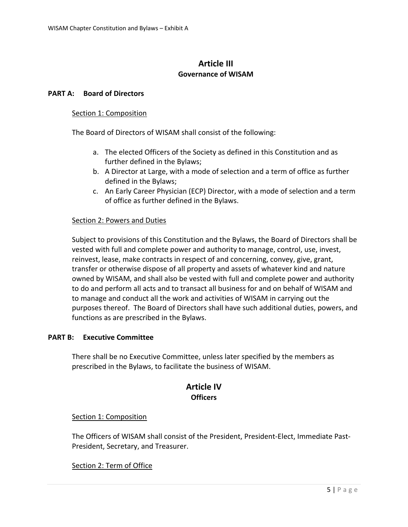#### **Article III Governance of WISAM**

#### **PART A: Board of Directors**

#### Section 1: Composition

The Board of Directors of WISAM shall consist of the following:

- a. The elected Officers of the Society as defined in this Constitution and as further defined in the Bylaws;
- b. A Director at Large, with a mode of selection and a term of office as further defined in the Bylaws;
- c. An Early Career Physician (ECP) Director, with a mode of selection and a term of office as further defined in the Bylaws.

#### Section 2: Powers and Duties

Subject to provisions of this Constitution and the Bylaws, the Board of Directors shall be vested with full and complete power and authority to manage, control, use, invest, reinvest, lease, make contracts in respect of and concerning, convey, give, grant, transfer or otherwise dispose of all property and assets of whatever kind and nature owned by WISAM, and shall also be vested with full and complete power and authority to do and perform all acts and to transact all business for and on behalf of WISAM and to manage and conduct all the work and activities of WISAM in carrying out the purposes thereof. The Board of Directors shall have such additional duties, powers, and functions as are prescribed in the Bylaws.

#### **PART B: Executive Committee**

There shall be no Executive Committee, unless later specified by the members as prescribed in the Bylaws, to facilitate the business of WISAM.

#### **Article IV Officers**

#### Section 1: Composition

The Officers of WISAM shall consist of the President, President-Elect, Immediate Past-President, Secretary, and Treasurer.

#### Section 2: Term of Office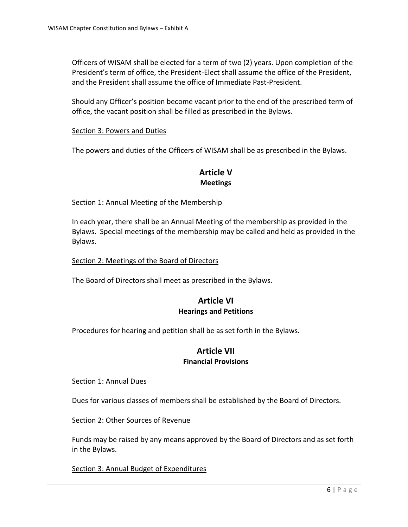Officers of WISAM shall be elected for a term of two (2) years. Upon completion of the President's term of office, the President-Elect shall assume the office of the President, and the President shall assume the office of Immediate Past-President.

Should any Officer's position become vacant prior to the end of the prescribed term of office, the vacant position shall be filled as prescribed in the Bylaws.

#### Section 3: Powers and Duties

The powers and duties of the Officers of WISAM shall be as prescribed in the Bylaws.

#### **Article V Meetings**

#### Section 1: Annual Meeting of the Membership

In each year, there shall be an Annual Meeting of the membership as provided in the Bylaws. Special meetings of the membership may be called and held as provided in the Bylaws.

#### Section 2: Meetings of the Board of Directors

The Board of Directors shall meet as prescribed in the Bylaws.

#### **Article VI Hearings and Petitions**

Procedures for hearing and petition shall be as set forth in the Bylaws.

#### **Article VII Financial Provisions**

#### Section 1: Annual Dues

Dues for various classes of members shall be established by the Board of Directors.

Section 2: Other Sources of Revenue

Funds may be raised by any means approved by the Board of Directors and as set forth in the Bylaws.

#### Section 3: Annual Budget of Expenditures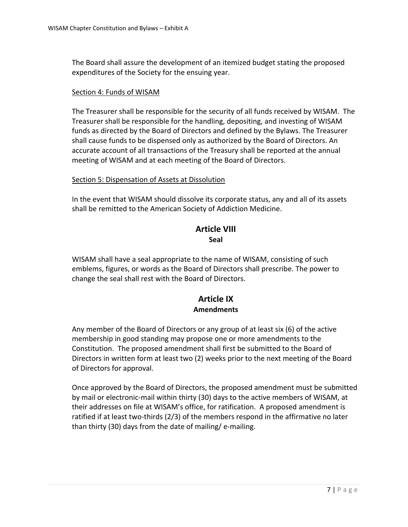The Board shall assure the development of an itemized budget stating the proposed expenditures of the Society for the ensuing year.

#### Section 4: Funds of WISAM

The Treasurer shall be responsible for the security of all funds received by WISAM. The Treasurer shall be responsible for the handling, depositing, and investing of WISAM funds as directed by the Board of Directors and defined by the Bylaws. The Treasurer shall cause funds to be dispensed only as authorized by the Board of Directors. An accurate account of all transactions of the Treasury shall be reported at the annual meeting of WISAM and at each meeting of the Board of Directors.

#### Section 5: Dispensation of Assets at Dissolution

In the event that WISAM should dissolve its corporate status, any and all of its assets shall be remitted to the American Society of Addiction Medicine.

#### **Article VIII Seal**

WISAM shall have a seal appropriate to the name of WISAM, consisting of such emblems, figures, or words as the Board of Directors shall prescribe. The power to change the seal shall rest with the Board of Directors.

#### **Article IX Amendments**

Any member of the Board of Directors or any group of at least six (6) of the active membership in good standing may propose one or more amendments to the Constitution. The proposed amendment shall first be submitted to the Board of Directors in written form at least two (2) weeks prior to the next meeting of the Board of Directors for approval.

Once approved by the Board of Directors, the proposed amendment must be submitted by mail or electronic-mail within thirty (30) days to the active members of WISAM, at their addresses on file at WISAM's office, for ratification. A proposed amendment is ratified if at least two-thirds (2/3) of the members respond in the affirmative no later than thirty (30) days from the date of mailing/ e-mailing.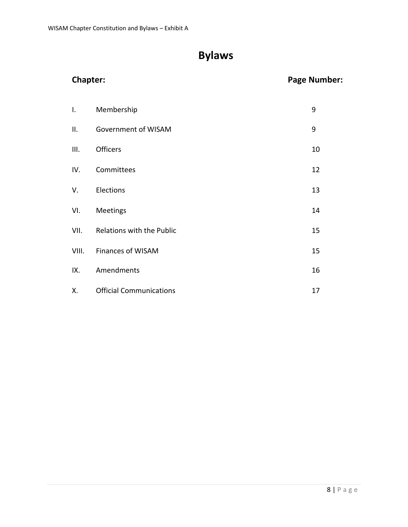## **Bylaws**

| <b>Chapter:</b> |                                | <b>Page Number:</b> |
|-----------------|--------------------------------|---------------------|
| $\mathsf{I}$ .  | Membership                     | 9                   |
| ΙΙ.             | Government of WISAM            | 9                   |
| III.            | Officers                       | 10                  |
| IV.             | Committees                     | 12                  |
| V.              | Elections                      | 13                  |
| VI.             | Meetings                       | 14                  |
| VII.            | Relations with the Public      | 15                  |
| VIII.           | Finances of WISAM              | 15                  |
| IX.             | Amendments                     | 16                  |
| Χ.              | <b>Official Communications</b> | 17                  |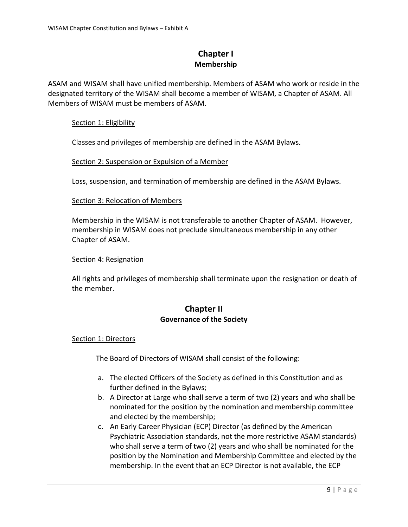#### **Chapter I Membership**

ASAM and WISAM shall have unified membership. Members of ASAM who work or reside in the designated territory of the WISAM shall become a member of WISAM, a Chapter of ASAM. All Members of WISAM must be members of ASAM.

#### Section 1: Eligibility

Classes and privileges of membership are defined in the ASAM Bylaws.

#### Section 2: Suspension or Expulsion of a Member

Loss, suspension, and termination of membership are defined in the ASAM Bylaws.

#### Section 3: Relocation of Members

Membership in the WISAM is not transferable to another Chapter of ASAM. However, membership in WISAM does not preclude simultaneous membership in any other Chapter of ASAM.

#### Section 4: Resignation

All rights and privileges of membership shall terminate upon the resignation or death of the member.

#### **Chapter II Governance of the Society**

#### Section 1: Directors

The Board of Directors of WISAM shall consist of the following:

- a. The elected Officers of the Society as defined in this Constitution and as further defined in the Bylaws;
- b. A Director at Large who shall serve a term of two (2) years and who shall be nominated for the position by the nomination and membership committee and elected by the membership;
- c. An Early Career Physician (ECP) Director (as defined by the American Psychiatric Association standards, not the more restrictive ASAM standards) who shall serve a term of two (2) years and who shall be nominated for the position by the Nomination and Membership Committee and elected by the membership. In the event that an ECP Director is not available, the ECP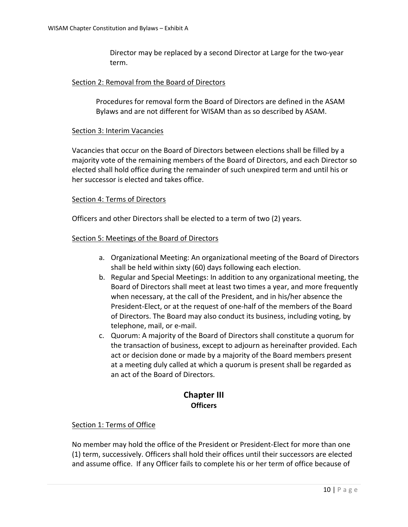Director may be replaced by a second Director at Large for the two-year term.

#### Section 2: Removal from the Board of Directors

Procedures for removal form the Board of Directors are defined in the ASAM Bylaws and are not different for WISAM than as so described by ASAM.

#### Section 3: Interim Vacancies

Vacancies that occur on the Board of Directors between elections shall be filled by a majority vote of the remaining members of the Board of Directors, and each Director so elected shall hold office during the remainder of such unexpired term and until his or her successor is elected and takes office.

#### Section 4: Terms of Directors

Officers and other Directors shall be elected to a term of two (2) years.

#### Section 5: Meetings of the Board of Directors

- a. Organizational Meeting: An organizational meeting of the Board of Directors shall be held within sixty (60) days following each election.
- b. Regular and Special Meetings: In addition to any organizational meeting, the Board of Directors shall meet at least two times a year, and more frequently when necessary, at the call of the President, and in his/her absence the President-Elect, or at the request of one-half of the members of the Board of Directors. The Board may also conduct its business, including voting, by telephone, mail, or e-mail.
- c. Quorum: A majority of the Board of Directors shall constitute a quorum for the transaction of business, except to adjourn as hereinafter provided. Each act or decision done or made by a majority of the Board members present at a meeting duly called at which a quorum is present shall be regarded as an act of the Board of Directors.

#### **Chapter III Officers**

#### Section 1: Terms of Office

No member may hold the office of the President or President-Elect for more than one (1) term, successively. Officers shall hold their offices until their successors are elected and assume office. If any Officer fails to complete his or her term of office because of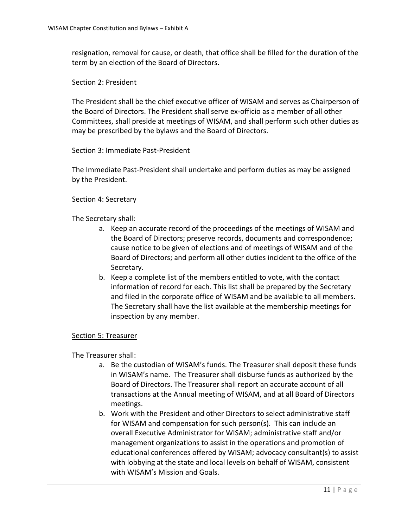resignation, removal for cause, or death, that office shall be filled for the duration of the term by an election of the Board of Directors.

#### Section 2: President

The President shall be the chief executive officer of WISAM and serves as Chairperson of the Board of Directors. The President shall serve ex-officio as a member of all other Committees, shall preside at meetings of WISAM, and shall perform such other duties as may be prescribed by the bylaws and the Board of Directors.

#### Section 3: Immediate Past-President

The Immediate Past-President shall undertake and perform duties as may be assigned by the President.

#### Section 4: Secretary

The Secretary shall:

- a. Keep an accurate record of the proceedings of the meetings of WISAM and the Board of Directors; preserve records, documents and correspondence; cause notice to be given of elections and of meetings of WISAM and of the Board of Directors; and perform all other duties incident to the office of the Secretary.
- b. Keep a complete list of the members entitled to vote, with the contact information of record for each. This list shall be prepared by the Secretary and filed in the corporate office of WISAM and be available to all members. The Secretary shall have the list available at the membership meetings for inspection by any member.

#### Section 5: Treasurer

The Treasurer shall:

- a. Be the custodian of WISAM's funds. The Treasurer shall deposit these funds in WISAM's name. The Treasurer shall disburse funds as authorized by the Board of Directors. The Treasurer shall report an accurate account of all transactions at the Annual meeting of WISAM, and at all Board of Directors meetings.
- b. Work with the President and other Directors to select administrative staff for WISAM and compensation for such person(s). This can include an overall Executive Administrator for WISAM; administrative staff and/or management organizations to assist in the operations and promotion of educational conferences offered by WISAM; advocacy consultant(s) to assist with lobbying at the state and local levels on behalf of WISAM, consistent with WISAM's Mission and Goals.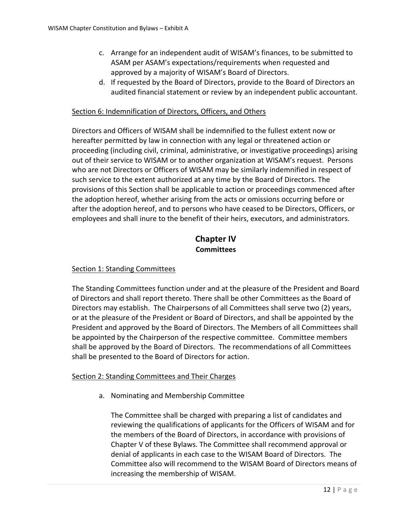- c. Arrange for an independent audit of WISAM's finances, to be submitted to ASAM per ASAM's expectations/requirements when requested and approved by a majority of WISAM's Board of Directors.
- d. If requested by the Board of Directors, provide to the Board of Directors an audited financial statement or review by an independent public accountant.

#### Section 6: Indemnification of Directors, Officers, and Others

Directors and Officers of WISAM shall be indemnified to the fullest extent now or hereafter permitted by law in connection with any legal or threatened action or proceeding (including civil, criminal, administrative, or investigative proceedings) arising out of their service to WISAM or to another organization at WISAM's request. Persons who are not Directors or Officers of WISAM may be similarly indemnified in respect of such service to the extent authorized at any time by the Board of Directors. The provisions of this Section shall be applicable to action or proceedings commenced after the adoption hereof, whether arising from the acts or omissions occurring before or after the adoption hereof, and to persons who have ceased to be Directors, Officers, or employees and shall inure to the benefit of their heirs, executors, and administrators.

#### **Chapter IV Committees**

#### Section 1: Standing Committees

The Standing Committees function under and at the pleasure of the President and Board of Directors and shall report thereto. There shall be other Committees as the Board of Directors may establish. The Chairpersons of all Committees shall serve two (2) years, or at the pleasure of the President or Board of Directors, and shall be appointed by the President and approved by the Board of Directors. The Members of all Committees shall be appointed by the Chairperson of the respective committee. Committee members shall be approved by the Board of Directors. The recommendations of all Committees shall be presented to the Board of Directors for action.

#### Section 2: Standing Committees and Their Charges

a. Nominating and Membership Committee

The Committee shall be charged with preparing a list of candidates and reviewing the qualifications of applicants for the Officers of WISAM and for the members of the Board of Directors, in accordance with provisions of Chapter V of these Bylaws. The Committee shall recommend approval or denial of applicants in each case to the WISAM Board of Directors. The Committee also will recommend to the WISAM Board of Directors means of increasing the membership of WISAM.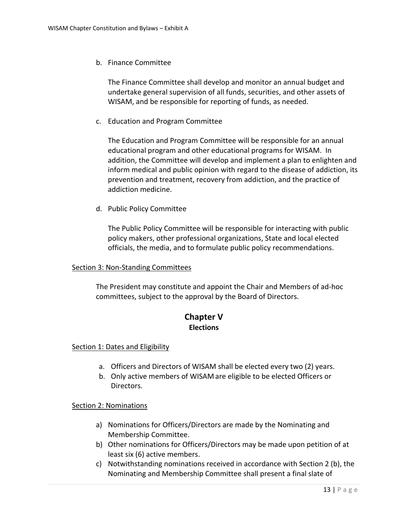b. Finance Committee

The Finance Committee shall develop and monitor an annual budget and undertake general supervision of all funds, securities, and other assets of WISAM, and be responsible for reporting of funds, as needed.

c. Education and Program Committee

The Education and Program Committee will be responsible for an annual educational program and other educational programs for WISAM. In addition, the Committee will develop and implement a plan to enlighten and inform medical and public opinion with regard to the disease of addiction, its prevention and treatment, recovery from addiction, and the practice of addiction medicine.

d. Public Policy Committee

The Public Policy Committee will be responsible for interacting with public policy makers, other professional organizations, State and local elected officials, the media, and to formulate public policy recommendations.

#### Section 3: Non-Standing Committees

The President may constitute and appoint the Chair and Members of ad-hoc committees, subject to the approval by the Board of Directors.

#### **Chapter V Elections**

#### Section 1: Dates and Eligibility

- a. Officers and Directors of WISAM shall be elected every two (2) years.
- b. Only active members of WISAM are eligible to be elected Officers or Directors.

#### Section 2: Nominations

- a) Nominations for Officers/Directors are made by the Nominating and Membership Committee.
- b) Other nominations for Officers/Directors may be made upon petition of at least six (6) active members.
- c) Notwithstanding nominations received in accordance with Section 2 (b), the Nominating and Membership Committee shall present a final slate of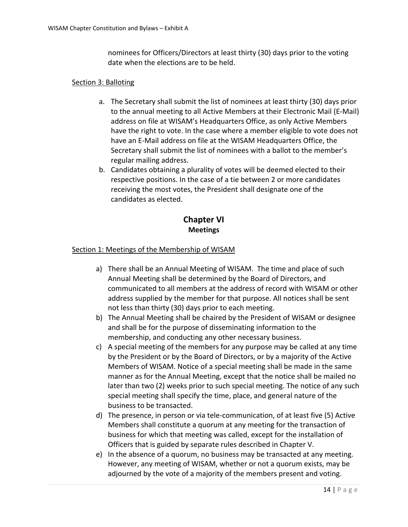nominees for Officers/Directors at least thirty (30) days prior to the voting date when the elections are to be held.

#### Section 3: Balloting

- a. The Secretary shall submit the list of nominees at least thirty (30) days prior to the annual meeting to all Active Members at their Electronic Mail (E-Mail) address on file at WISAM's Headquarters Office, as only Active Members have the right to vote. In the case where a member eligible to vote does not have an E-Mail address on file at the WISAM Headquarters Office, the Secretary shall submit the list of nominees with a ballot to the member's regular mailing address.
- b. Candidates obtaining a plurality of votes will be deemed elected to their respective positions. In the case of a tie between 2 or more candidates receiving the most votes, the President shall designate one of the candidates as elected.

### **Chapter VI Meetings**

#### Section 1: Meetings of the Membership of WISAM

- a) There shall be an Annual Meeting of WISAM. The time and place of such Annual Meeting shall be determined by the Board of Directors, and communicated to all members at the address of record with WISAM or other address supplied by the member for that purpose. All notices shall be sent not less than thirty (30) days prior to each meeting.
- b) The Annual Meeting shall be chaired by the President of WISAM or designee and shall be for the purpose of disseminating information to the membership, and conducting any other necessary business.
- c) A special meeting of the members for any purpose may be called at any time by the President or by the Board of Directors, or by a majority of the Active Members of WISAM. Notice of a special meeting shall be made in the same manner as for the Annual Meeting, except that the notice shall be mailed no later than two (2) weeks prior to such special meeting. The notice of any such special meeting shall specify the time, place, and general nature of the business to be transacted.
- d) The presence, in person or via tele-communication, of at least five (5) Active Members shall constitute a quorum at any meeting for the transaction of business for which that meeting was called, except for the installation of Officers that is guided by separate rules described in Chapter V.
- e) In the absence of a quorum, no business may be transacted at any meeting. However, any meeting of WISAM, whether or not a quorum exists, may be adjourned by the vote of a majority of the members present and voting.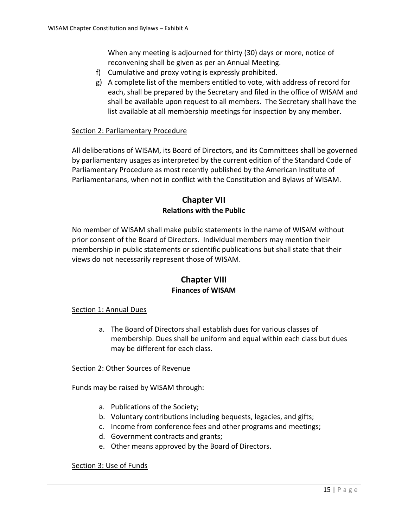When any meeting is adjourned for thirty (30) days or more, notice of reconvening shall be given as per an Annual Meeting.

- f) Cumulative and proxy voting is expressly prohibited.
- g) A complete list of the members entitled to vote, with address of record for each, shall be prepared by the Secretary and filed in the office of WISAM and shall be available upon request to all members. The Secretary shall have the list available at all membership meetings for inspection by any member.

#### Section 2: Parliamentary Procedure

All deliberations of WISAM, its Board of Directors, and its Committees shall be governed by parliamentary usages as interpreted by the current edition of the Standard Code of Parliamentary Procedure as most recently published by the American Institute of Parliamentarians, when not in conflict with the Constitution and Bylaws of WISAM.

#### **Chapter VII Relations with the Public**

No member of WISAM shall make public statements in the name of WISAM without prior consent of the Board of Directors. Individual members may mention their membership in public statements or scientific publications but shall state that their views do not necessarily represent those of WISAM.

#### **Chapter VIII Finances of WISAM**

#### Section 1: Annual Dues

a. The Board of Directors shall establish dues for various classes of membership. Dues shall be uniform and equal within each class but dues may be different for each class.

#### Section 2: Other Sources of Revenue

Funds may be raised by WISAM through:

- a. Publications of the Society;
- b. Voluntary contributions including bequests, legacies, and gifts;
- c. Income from conference fees and other programs and meetings;
- d. Government contracts and grants;
- e. Other means approved by the Board of Directors.

#### Section 3: Use of Funds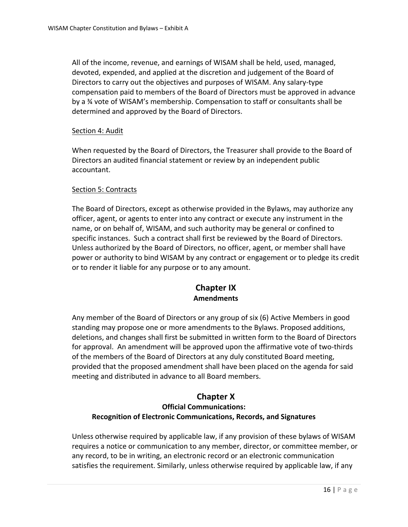All of the income, revenue, and earnings of WISAM shall be held, used, managed, devoted, expended, and applied at the discretion and judgement of the Board of Directors to carry out the objectives and purposes of WISAM. Any salary-type compensation paid to members of the Board of Directors must be approved in advance by a ¾ vote of WISAM's membership. Compensation to staff or consultants shall be determined and approved by the Board of Directors.

#### Section 4: Audit

When requested by the Board of Directors, the Treasurer shall provide to the Board of Directors an audited financial statement or review by an independent public accountant.

#### Section 5: Contracts

The Board of Directors, except as otherwise provided in the Bylaws, may authorize any officer, agent, or agents to enter into any contract or execute any instrument in the name, or on behalf of, WISAM, and such authority may be general or confined to specific instances. Such a contract shall first be reviewed by the Board of Directors. Unless authorized by the Board of Directors, no officer, agent, or member shall have power or authority to bind WISAM by any contract or engagement or to pledge its credit or to render it liable for any purpose or to any amount.

#### **Chapter IX Amendments**

Any member of the Board of Directors or any group of six (6) Active Members in good standing may propose one or more amendments to the Bylaws. Proposed additions, deletions, and changes shall first be submitted in written form to the Board of Directors for approval. An amendment will be approved upon the affirmative vote of two-thirds of the members of the Board of Directors at any duly constituted Board meeting, provided that the proposed amendment shall have been placed on the agenda for said meeting and distributed in advance to all Board members.

#### **Chapter X Official Communications: Recognition of Electronic Communications, Records, and Signatures**

Unless otherwise required by applicable law, if any provision of these bylaws of WISAM requires a notice or communication to any member, director, or committee member, or any record, to be in writing, an electronic record or an electronic communication satisfies the requirement. Similarly, unless otherwise required by applicable law, if any